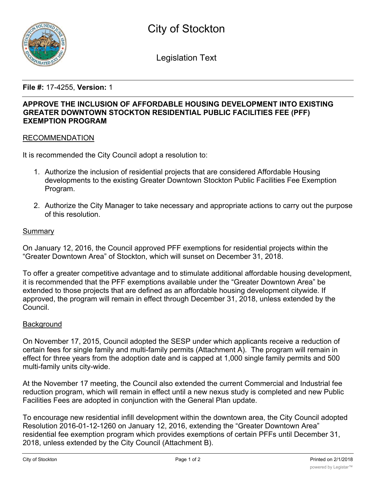

Legislation Text

# **File #:** 17-4255, **Version:** 1

### **APPROVE THE INCLUSION OF AFFORDABLE HOUSING DEVELOPMENT INTO EXISTING GREATER DOWNTOWN STOCKTON RESIDENTIAL PUBLIC FACILITIES FEE (PFF) EXEMPTION PROGRAM**

### RECOMMENDATION

It is recommended the City Council adopt a resolution to:

- 1. Authorize the inclusion of residential projects that are considered Affordable Housing developments to the existing Greater Downtown Stockton Public Facilities Fee Exemption Program.
- 2. Authorize the City Manager to take necessary and appropriate actions to carry out the purpose of this resolution.

### Summary

On January 12, 2016, the Council approved PFF exemptions for residential projects within the "Greater Downtown Area" of Stockton, which will sunset on December 31, 2018.

To offer a greater competitive advantage and to stimulate additional affordable housing development, it is recommended that the PFF exemptions available under the "Greater Downtown Area" be extended to those projects that are defined as an affordable housing development citywide. If approved, the program will remain in effect through December 31, 2018, unless extended by the Council.

#### **Background**

On November 17, 2015, Council adopted the SESP under which applicants receive a reduction of certain fees for single family and multi-family permits (Attachment A). The program will remain in effect for three years from the adoption date and is capped at 1,000 single family permits and 500 multi-family units city-wide.

At the November 17 meeting, the Council also extended the current Commercial and Industrial fee reduction program, which will remain in effect until a new nexus study is completed and new Public Facilities Fees are adopted in conjunction with the General Plan update.

To encourage new residential infill development within the downtown area, the City Council adopted Resolution 2016-01-12-1260 on January 12, 2016, extending the "Greater Downtown Area" residential fee exemption program which provides exemptions of certain PFFs until December 31, 2018, unless extended by the City Council (Attachment B).